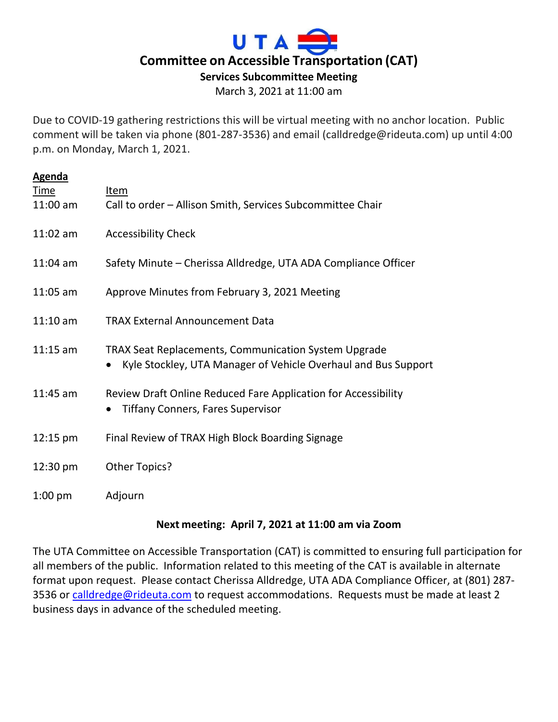

March 3, 2021 at 11:00 am

Due to COVID-19 gathering restrictions this will be virtual meeting with no anchor location. Public comment will be taken via phone (801-287-3536) and email (calldredge@rideuta.com) up until 4:00 p.m. on Monday, March 1, 2021.

| <b>Agenda</b>             |                                                                                                                               |
|---------------------------|-------------------------------------------------------------------------------------------------------------------------------|
| <b>Time</b><br>$11:00$ am | Item<br>Call to order - Allison Smith, Services Subcommittee Chair                                                            |
|                           |                                                                                                                               |
| $11:02$ am                | <b>Accessibility Check</b>                                                                                                    |
| $11:04$ am                | Safety Minute - Cherissa Alldredge, UTA ADA Compliance Officer                                                                |
| $11:05$ am                | Approve Minutes from February 3, 2021 Meeting                                                                                 |
| $11:10$ am                | <b>TRAX External Announcement Data</b>                                                                                        |
| $11:15$ am                | <b>TRAX Seat Replacements, Communication System Upgrade</b><br>Kyle Stockley, UTA Manager of Vehicle Overhaul and Bus Support |
| $11:45$ am                | Review Draft Online Reduced Fare Application for Accessibility<br><b>Tiffany Conners, Fares Supervisor</b><br>$\bullet$       |
| $12:15 \text{ pm}$        | Final Review of TRAX High Block Boarding Signage                                                                              |
| 12:30 pm                  | Other Topics?                                                                                                                 |
| $1:00$ pm                 | Adjourn                                                                                                                       |

## **Next meeting: April 7, 2021 at 11:00 am via Zoom**

The UTA Committee on Accessible Transportation (CAT) is committed to ensuring full participation for all members of the public. Information related to this meeting of the CAT is available in alternate format upon request. Please contact Cherissa Alldredge, UTA ADA Compliance Officer, at (801) 287 3536 or [calldredge@rideuta.com](mailto:calldredge@rideuta.com) to request accommodations. Requests must be made at least 2 business days in advance of the scheduled meeting.